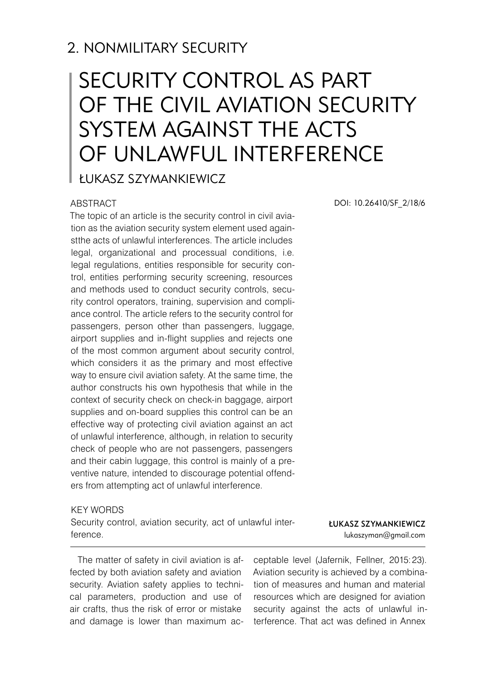# 2. NONMILITARY SECURITY

# SECURITY CONTROL AS PART OF THE CIVIL AVIATION SECURITY SYSTEM AGAINST THE ACTS OF UNLAWFUL INTERFERENCE

Łukasz Szymankiewicz

#### ABSTRACT

The topic of an article is the security control in civil aviation as the aviation security system element used againstthe acts of unlawful interferences. The article includes legal, organizational and processual conditions, i.e. legal regulations, entities responsible for security control, entities performing security screening, resources and methods used to conduct security controls, security control operators, training, supervision and compliance control. The article refers to the security control for passengers, person other than passengers, luggage, airport supplies and in-flight supplies and rejects one of the most common argument about security control, which considers it as the primary and most effective way to ensure civil aviation safety. At the same time, the author constructs his own hypothesis that while in the context of security check on check-in baggage, airport supplies and on-board supplies this control can be an effective way of protecting civil aviation against an act of unlawful interference, although, in relation to security check of people who are not passengers, passengers and their cabin luggage, this control is mainly of a preventive nature, intended to discourage potential offenders from attempting act of unlawful interference.

#### KEY WORDS

Security control, aviation security, act of unlawful interference.

The matter of safety in civil aviation is affected by both aviation safety and aviation security. Aviation safety applies to technical parameters, production and use of air crafts, thus the risk of error or mistake and damage is lower than maximum acDOI: 10.26410/SF\_2/18/6

Łukasz Szymankiewicz lukaszyman@gmail.com

ceptable level (Jafernik, Fellner, 2015:23). Aviation security is achieved by a combination of measures and human and material resources which are designed for aviation security against the acts of unlawful interference. That act was defined in Annex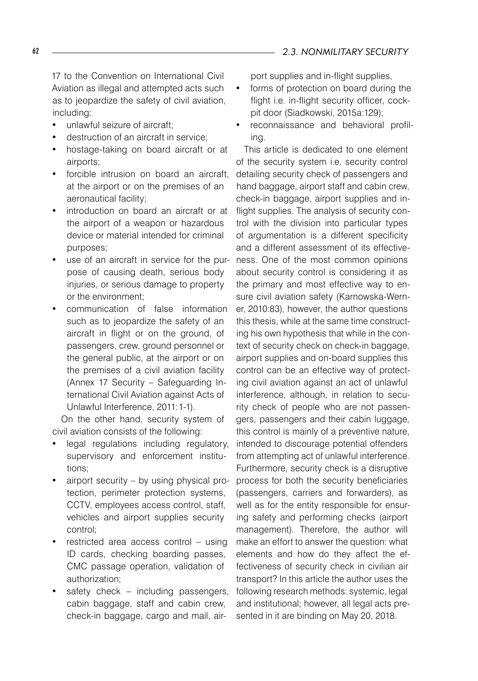17 to the Convention on International Civil Aviation as illegal and attempted acts such as to jeopardize the safety of civil aviation, including:

- unlawful seizure of aircraft:
- destruction of an aircraft in service;
- hostage-taking on board aircraft or at airports;
- forcible intrusion on board an aircraft, at the airport or on the premises of an aeronautical facility;
- introduction on board an aircraft or at the airport of a weapon or hazardous device or material intended for criminal purposes;
- use of an aircraft in service for the purpose of causing death, serious body iniuries, or serious damage to property or the environment;
- communication of false information such as to jeopardize the safety of an aircraft in flight or on the ground, of passengers, crew, ground personnel or the general public, at the airport or on the premises of a civil aviation facility (Annex 17 Security – Safeguarding International Civil Aviation against Acts of Unlawful Interference, 2011:1-1).

On the other hand, security system of civil aviation consists of the following:

- legal regulations including regulatory, supervisory and enforcement institutions;
- airport security  $-$  by using physical protection, perimeter protection systems, CCTV, employees access control, staff, vehicles and airport supplies security control;
- restricted area access control using ID cards, checking boarding passes, CMC passage operation, validation of authorization;
- safety check  $-$  including passengers, cabin baggage, staff and cabin crew, check-in baggage, cargo and mail, air-

port supplies and in-flight supplies,

- forms of protection on board during the flight i.e. in-flight security officer, cockpit door (Siadkowski, 2015a:129);
- reconnaissance and behavioral profiling.

This article is dedicated to one element of the security system i.e. security control detailing security check of passengers and hand baggage, airport staff and cabin crew, check-in baggage, airport supplies and inflight supplies. The analysis of security control with the division into particular types of argumentation is a different specificity and a different assessment of its effectiveness. One of the most common opinions about security control is considering it as the primary and most effective way to ensure civil aviation safety (Karnowska-Werner, 2010:83), however, the author questions this thesis, while at the same time constructing his own hypothesis that while in the context of security check on check-in baggage, airport supplies and on-board supplies this control can be an effective way of protecting civil aviation against an act of unlawful interference, although, in relation to security check of people who are not passengers, passengers and their cabin luggage, this control is mainly of a preventive nature, intended to discourage potential offenders from attempting act of unlawful interference. Furthermore, security check is a disruptive process for both the security beneficiaries (passengers, carriers and forwarders), as well as for the entity responsible for ensuring safety and performing checks (airport management). Therefore, the author will make an effort to answer the question: what elements and how do they affect the effectiveness of security check in civilian air transport? In this article the author uses the following research methods: systemic, legal and institutional; however, all legal acts presented in it are binding on May 20, 2018.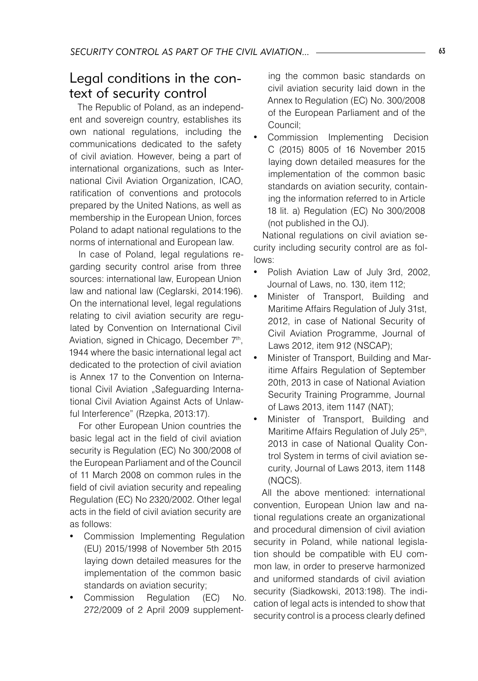#### Legal conditions in the context of security control

The Republic of Poland, as an independent and sovereign country, establishes its own national regulations, including the communications dedicated to the safety of civil aviation. However, being a part of international organizations, such as International Civil Aviation Organization, ICAO, ratification of conventions and protocols prepared by the United Nations, as well as membership in the European Union, forces Poland to adapt national regulations to the norms of international and European law.

In case of Poland, legal regulations regarding security control arise from three sources: international law, European Union law and national law (Ceglarski, 2014:196). On the international level, legal regulations relating to civil aviation security are regulated by Convention on International Civil Aviation, signed in Chicago, December 7<sup>th</sup>, 1944 where the basic international legal act dedicated to the protection of civil aviation is Annex 17 to the Convention on International Civil Aviation "Safeguarding International Civil Aviation Against Acts of Unlawful Interference" (Rzepka, 2013:17).

For other European Union countries the basic legal act in the field of civil aviation security is Regulation (EC) No 300/2008 of the European Parliament and of the Council of 11 March 2008 on common rules in the field of civil aviation security and repealing Regulation (EC) No 2320/2002. Other legal acts in the field of civil aviation security are as follows:

- Commission Implementing Regulation (EU) 2015/1998 of November 5th 2015 laying down detailed measures for the implementation of the common basic standards on aviation security;
- Commission Regulation (EC) No. 272/2009 of 2 April 2009 supplement-

ing the common basic standards on civil aviation security laid down in the Annex to Regulation (EC) No. 300/2008 of the European Parliament and of the Council;

Commission Implementing Decision C (2015) 8005 of 16 November 2015 laying down detailed measures for the implementation of the common basic standards on aviation security, containing the information referred to in Article 18 lit. a) Regulation (EC) No 300/2008 (not published in the OJ).

National regulations on civil aviation security including security control are as follows:

- Polish Aviation Law of July 3rd, 2002, Journal of Laws, no. 130, item 112;
- Minister of Transport, Building and Maritime Affairs Regulation of July 31st, 2012, in case of National Security of Civil Aviation Programme, Journal of Laws 2012, item 912 (NSCAP);
- Minister of Transport, Building and Maritime Affairs Regulation of September 20th, 2013 in case of National Aviation Security Training Programme, Journal of Laws 2013, item 1147 (NAT);
- Minister of Transport, Building and Maritime Affairs Regulation of July 25<sup>th</sup>, 2013 in case of National Quality Control System in terms of civil aviation security, Journal of Laws 2013, item 1148 (NQCS).

All the above mentioned: international convention, European Union law and national regulations create an organizational and procedural dimension of civil aviation security in Poland, while national legislation should be compatible with EU common law, in order to preserve harmonized and uniformed standards of civil aviation security (Siadkowski, 2013:198). The indication of legal acts is intended to show that security control is a process clearly defined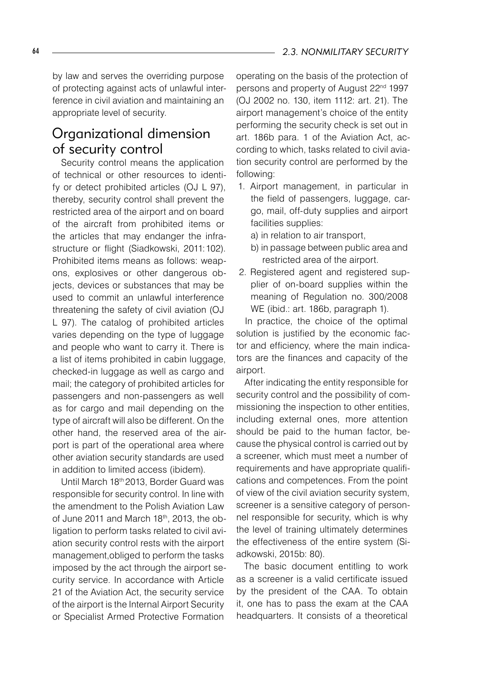by law and serves the overriding purpose of protecting against acts of unlawful interference in civil aviation and maintaining an appropriate level of security.

## Organizational dimension of security control

Security control means the application of technical or other resources to identify or detect prohibited articles (OJ L 97), thereby, security control shall prevent the restricted area of the airport and on board of the aircraft from prohibited items or the articles that may endanger the infrastructure or flight (Siadkowski, 2011:102). Prohibited items means as follows: weapons, explosives or other dangerous objects, devices or substances that may be used to commit an unlawful interference threatening the safety of civil aviation (OJ L 97). The catalog of prohibited articles varies depending on the type of luggage and people who want to carry it. There is a list of items prohibited in cabin luggage, checked-in luggage as well as cargo and mail; the category of prohibited articles for passengers and non-passengers as well as for cargo and mail depending on the type of aircraft will also be different. On the other hand, the reserved area of the airport is part of the operational area where other aviation security standards are used in addition to limited access (ibidem).

Until March 18th 2013, Border Guard was responsible for security control. In line with the amendment to the Polish Aviation Law of June 2011 and March 18<sup>th</sup>, 2013, the obligation to perform tasks related to civil aviation security control rests with the airport management,obliged to perform the tasks imposed by the act through the airport security service. In accordance with Article 21 of the Aviation Act, the security service of the airport is the Internal Airport Security or Specialist Armed Protective Formation

operating on the basis of the protection of persons and property of August 22<sup>nd</sup> 1997 (OJ 2002 no. 130, item 1112: art. 21). The airport management's choice of the entity performing the security check is set out in art. 186b para. 1 of the Aviation Act, according to which, tasks related to civil aviation security control are performed by the following:

- 1. Airport management, in particular in the field of passengers, luggage, cargo, mail, off-duty supplies and airport facilities supplies:
	- a) in relation to air transport,
	- b) in passage between public area and restricted area of the airport.
- 2. Registered agent and registered supplier of on-board supplies within the meaning of Regulation no. 300/2008 WE (ibid.: art. 186b, paragraph 1).

In practice, the choice of the optimal solution is justified by the economic factor and efficiency, where the main indicators are the finances and capacity of the airport.

After indicating the entity responsible for security control and the possibility of commissioning the inspection to other entities, including external ones, more attention should be paid to the human factor, because the physical control is carried out by a screener, which must meet a number of requirements and have appropriate qualifications and competences. From the point of view of the civil aviation security system, screener is a sensitive category of personnel responsible for security, which is why the level of training ultimately determines the effectiveness of the entire system (Siadkowski, 2015b: 80).

The basic document entitling to work as a screener is a valid certificate issued by the president of the CAA. To obtain it, one has to pass the exam at the CAA headquarters. It consists of a theoretical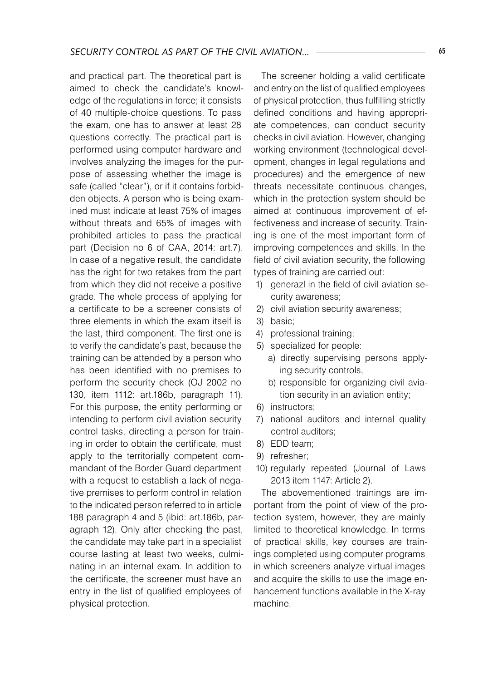and practical part. The theoretical part is aimed to check the candidate's knowledge of the regulations in force; it consists of 40 multiple-choice questions. To pass the exam, one has to answer at least 28 questions correctly. The practical part is performed using computer hardware and involves analyzing the images for the purpose of assessing whether the image is safe (called "clear"), or if it contains forbidden objects. A person who is being examined must indicate at least 75% of images without threats and 65% of images with prohibited articles to pass the practical part (Decision no 6 of CAA, 2014: art.7). In case of a negative result, the candidate has the right for two retakes from the part from which they did not receive a positive grade. The whole process of applying for a certificate to be a screener consists of three elements in which the exam itself is the last, third component. The first one is to verify the candidate's past, because the training can be attended by a person who has been identified with no premises to perform the security check (OJ 2002 no 130, item 1112: art.186b, paragraph 11). For this purpose, the entity performing or intending to perform civil aviation security control tasks, directing a person for training in order to obtain the certificate, must apply to the territorially competent commandant of the Border Guard department with a request to establish a lack of negative premises to perform control in relation to the indicated person referred to in article 188 paragraph 4 and 5 (ibid: art.186b, paragraph 12). Only after checking the past, the candidate may take part in a specialist course lasting at least two weeks, culminating in an internal exam. In addition to the certificate, the screener must have an entry in the list of qualified employees of physical protection.

The screener holding a valid certificate and entry on the list of qualified employees of physical protection, thus fulfilling strictly defined conditions and having appropriate competences, can conduct security checks in civil aviation. However, changing working environment (technological development, changes in legal regulations and procedures) and the emergence of new threats necessitate continuous changes, which in the protection system should be aimed at continuous improvement of effectiveness and increase of security. Training is one of the most important form of improving competences and skills. In the field of civil aviation security, the following types of training are carried out:

- 1) generazl in the field of civil aviation security awareness;
- 2) civil aviation security awareness;
- 3) basic;
- 4) professional training;
- 5) specialized for people:
	- a) directly supervising persons applying security controls,
	- b) responsible for organizing civil aviation security in an aviation entity;
- 6) instructors;
- 7) national auditors and internal quality control auditors;
- 8) EDD team;
- 9) refresher;
- 10) regularly repeated (Journal of Laws 2013 item 1147: Article 2).

The abovementioned trainings are important from the point of view of the protection system, however, they are mainly limited to theoretical knowledge. In terms of practical skills, key courses are trainings completed using computer programs in which screeners analyze virtual images and acquire the skills to use the image enhancement functions available in the X-ray machine.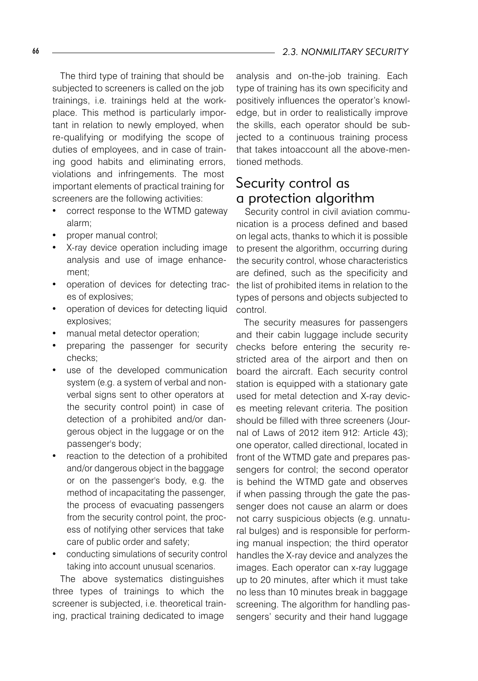The third type of training that should be subjected to screeners is called on the job trainings, i.e. trainings held at the workplace. This method is particularly important in relation to newly employed, when re-qualifying or modifying the scope of duties of employees, and in case of training good habits and eliminating errors, violations and infringements. The most important elements of practical training for screeners are the following activities:

- correct response to the WTMD gateway alarm;
- proper manual control;
- X-ray device operation including image analysis and use of image enhancement;
- operation of devices for detecting traces of explosives;
- operation of devices for detecting liquid explosives;
- manual metal detector operation;
- preparing the passenger for security checks;
- use of the developed communication system (e.g. a system of verbal and nonverbal signs sent to other operators at the security control point) in case of detection of a prohibited and/or dangerous object in the luggage or on the passenger's body;
- reaction to the detection of a prohibited and/or dangerous object in the baggage or on the passenger's body, e.g. the method of incapacitating the passenger, the process of evacuating passengers from the security control point, the process of notifying other services that take care of public order and safety;
- conducting simulations of security control taking into account unusual scenarios.

The above systematics distinguishes three types of trainings to which the screener is subjected, i.e. theoretical training, practical training dedicated to image

analysis and on-the-job training. Each type of training has its own specificity and positively influences the operator's knowledge, but in order to realistically improve the skills, each operator should be subjected to a continuous training process that takes intoaccount all the above-mentioned methods.

## Security control as a protection algorithm

Security control in civil aviation communication is a process defined and based on legal acts, thanks to which it is possible to present the algorithm, occurring during the security control, whose characteristics are defined, such as the specificity and the list of prohibited items in relation to the types of persons and objects subjected to control.

The security measures for passengers and their cabin luggage include security checks before entering the security restricted area of the airport and then on board the aircraft. Each security control station is equipped with a stationary gate used for metal detection and X-ray devices meeting relevant criteria. The position should be filled with three screeners (Journal of Laws of 2012 item 912: Article 43); one operator, called directional, located in front of the WTMD gate and prepares passengers for control; the second operator is behind the WTMD gate and observes if when passing through the gate the passenger does not cause an alarm or does not carry suspicious objects (e.g. unnatural bulges) and is responsible for performing manual inspection; the third operator handles the X-ray device and analyzes the images. Each operator can x-ray luggage up to 20 minutes, after which it must take no less than 10 minutes break in baggage screening. The algorithm for handling passengers' security and their hand luggage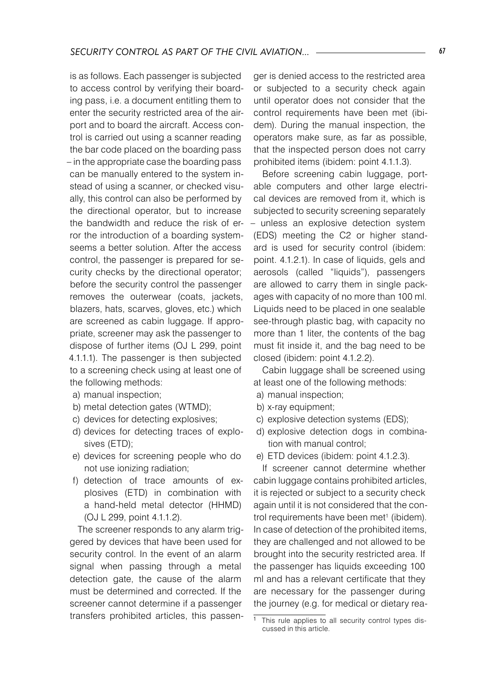is as follows. Each passenger is subjected to access control by verifying their boarding pass, i.e. a document entitling them to enter the security restricted area of the airport and to board the aircraft. Access control is carried out using a scanner reading the bar code placed on the boarding pass – in the appropriate case the boarding pass can be manually entered to the system instead of using a scanner, or checked visually, this control can also be performed by the directional operator, but to increase the bandwidth and reduce the risk of error the introduction of a boarding systemseems a better solution. After the access control, the passenger is prepared for security checks by the directional operator; before the security control the passenger removes the outerwear (coats, jackets, blazers, hats, scarves, gloves, etc.) which are screened as cabin luggage. If appropriate, screener may ask the passenger to dispose of further items (OJ L 299, point 4.1.1.1). The passenger is then subjected to a screening check using at least one of the following methods:

- a) manual inspection;
- b) metal detection gates (WTMD);
- c) devices for detecting explosives;
- d) devices for detecting traces of explosives (ETD);
- e) devices for screening people who do not use ionizing radiation;
- f) detection of trace amounts of explosives (ETD) in combination with a hand-held metal detector (HHMD) (OJ L 299, point 4.1.1.2).

The screener responds to any alarm triggered by devices that have been used for security control. In the event of an alarm signal when passing through a metal detection gate, the cause of the alarm must be determined and corrected. If the screener cannot determine if a passenger transfers prohibited articles, this passenger is denied access to the restricted area or subjected to a security check again until operator does not consider that the control requirements have been met (ibidem). During the manual inspection, the operators make sure, as far as possible, that the inspected person does not carry prohibited items (ibidem: point 4.1.1.3).

Before screening cabin luggage, portable computers and other large electrical devices are removed from it, which is subjected to security screening separately – unless an explosive detection system (EDS) meeting the C2 or higher standard is used for security control (ibidem: point. 4.1.2.1). In case of liquids, gels and aerosols (called "liquids"), passengers are allowed to carry them in single packages with capacity of no more than 100 ml. Liquids need to be placed in one sealable see-through plastic bag, with capacity no more than 1 liter, the contents of the bag must fit inside it, and the bag need to be closed (ibidem: point 4.1.2.2).

Cabin luggage shall be screened using at least one of the following methods:

- a) manual inspection;
- b) x-ray equipment;
- c) explosive detection systems (EDS);
- d) explosive detection dogs in combination with manual control;
- e) ETD devices (ibidem: point 4.1.2.3).

If screener cannot determine whether cabin luggage contains prohibited articles, it is rejected or subject to a security check again until it is not considered that the control requirements have been met<sup>1</sup> (ibidem). In case of detection of the prohibited items, they are challenged and not allowed to be brought into the security restricted area. If the passenger has liquids exceeding 100 ml and has a relevant certificate that they are necessary for the passenger during the journey (e.g. for medical or dietary rea-

 $\frac{1}{1}$  This rule applies to all security control types discussed in this article.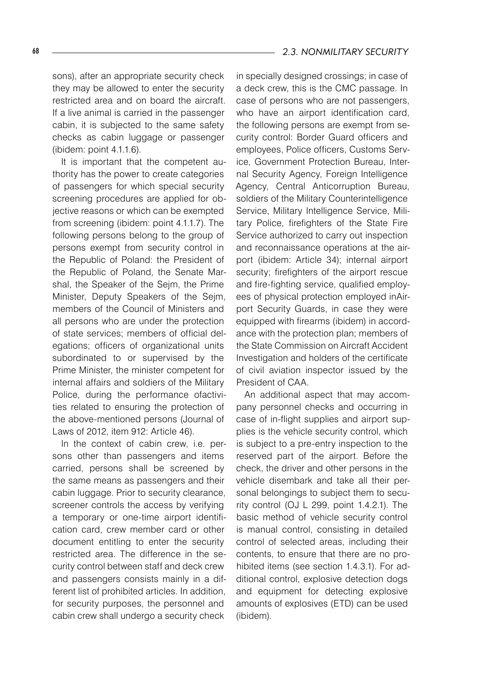sons), after an appropriate security check they may be allowed to enter the security restricted area and on board the aircraft. If a live animal is carried in the passenger cabin, it is subjected to the same safety checks as cabin luggage or passenger (ibidem: point 4.1.1.6).

It is important that the competent authority has the power to create categories of passengers for which special security screening procedures are applied for objective reasons or which can be exempted from screening (ibidem: point 4.1.1.7). The following persons belong to the group of persons exempt from security control in the Republic of Poland: the President of the Republic of Poland, the Senate Marshal, the Speaker of the Sejm, the Prime Minister, Deputy Speakers of the Sejm, members of the Council of Ministers and all persons who are under the protection of state services; members of official delegations; officers of organizational units subordinated to or supervised by the Prime Minister, the minister competent for internal affairs and soldiers of the Military Police, during the performance ofactivities related to ensuring the protection of the above-mentioned persons (Journal of Laws of 2012, item 912: Article 46).

In the context of cabin crew, i.e. persons other than passengers and items carried, persons shall be screened by the same means as passengers and their cabin luggage. Prior to security clearance, screener controls the access by verifying a temporary or one-time airport identification card, crew member card or other document entitling to enter the security restricted area. The difference in the security control between staff and deck crew and passengers consists mainly in a different list of prohibited articles. In addition, for security purposes, the personnel and cabin crew shall undergo a security check

in specially designed crossings; in case of a deck crew, this is the CMC passage. In case of persons who are not passengers, who have an airport identification card, the following persons are exempt from security control: Border Guard officers and employees, Police officers, Customs Service, Government Protection Bureau, Internal Security Agency, Foreign Intelligence Agency, Central Anticorruption Bureau, soldiers of the Military Counterintelligence Service, Military Intelligence Service, Military Police, firefighters of the State Fire Service authorized to carry out inspection and reconnaissance operations at the airport (ibidem: Article 34); internal airport security; firefighters of the airport rescue and fire-fighting service, qualified employees of physical protection employed inAirport Security Guards, in case they were equipped with firearms (ibidem) in accordance with the protection plan; members of the State Commission on Aircraft Accident Investigation and holders of the certificate of civil aviation inspector issued by the President of CAA.

An additional aspect that may accompany personnel checks and occurring in case of in-flight supplies and airport supplies is the vehicle security control, which is subject to a pre-entry inspection to the reserved part of the airport. Before the check, the driver and other persons in the vehicle disembark and take all their personal belongings to subject them to security control (OJ L 299, point 1.4.2.1). The basic method of vehicle security control is manual control, consisting in detailed control of selected areas, including their contents, to ensure that there are no prohibited items (see section 1.4.3.1). For additional control, explosive detection dogs and equipment for detecting explosive amounts of explosives (ETD) can be used (ibidem).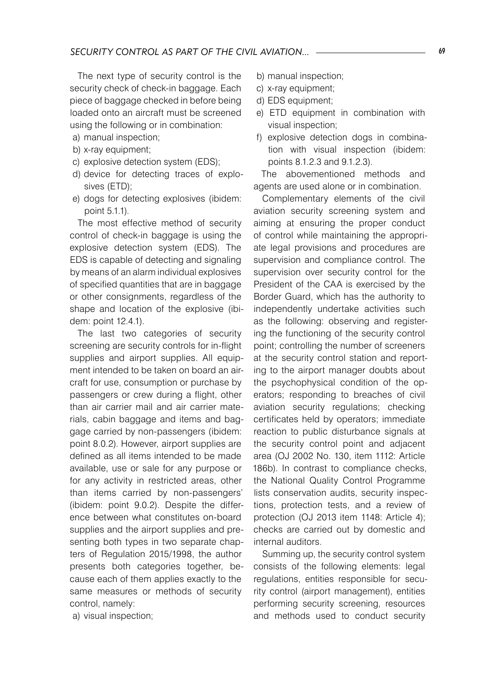The next type of security control is the security check of check-in baggage. Each piece of baggage checked in before being loaded onto an aircraft must be screened using the following or in combination:

- a) manual inspection;
- b) x-ray equipment;
- c) explosive detection system (EDS);
- d) device for detecting traces of explosives (ETD);
- e) dogs for detecting explosives (ibidem: point 5.1.1).

The most effective method of security control of check-in baggage is using the explosive detection system (EDS). The EDS is capable of detecting and signaling by means of an alarm individual explosives of specified quantities that are in baggage or other consignments, regardless of the shape and location of the explosive (ibidem: point 12.4.1).

The last two categories of security screening are security controls for in-flight supplies and airport supplies. All equipment intended to be taken on board an aircraft for use, consumption or purchase by passengers or crew during a flight, other than air carrier mail and air carrier materials, cabin baggage and items and baggage carried by non-passengers (ibidem: point 8.0.2). However, airport supplies are defined as all items intended to be made available, use or sale for any purpose or for any activity in restricted areas, other than items carried by non-passengers' (ibidem: point 9.0.2). Despite the difference between what constitutes on-board supplies and the airport supplies and presenting both types in two separate chapters of Regulation 2015/1998, the author presents both categories together, because each of them applies exactly to the same measures or methods of security control, namely:

a) visual inspection;

- b) manual inspection;
- c) x-ray equipment;
- d) EDS equipment;
- e) ETD equipment in combination with visual inspection;
- f) explosive detection dogs in combination with visual inspection (ibidem: points 8.1.2.3 and 9.1.2.3).

The abovementioned methods and agents are used alone or in combination.

Complementary elements of the civil aviation security screening system and aiming at ensuring the proper conduct of control while maintaining the appropriate legal provisions and procedures are supervision and compliance control. The supervision over security control for the President of the CAA is exercised by the Border Guard, which has the authority to independently undertake activities such as the following: observing and registering the functioning of the security control point; controlling the number of screeners at the security control station and reporting to the airport manager doubts about the psychophysical condition of the operators; responding to breaches of civil aviation security regulations; checking certificates held by operators; immediate reaction to public disturbance signals at the security control point and adjacent area (OJ 2002 No. 130, item 1112: Article 186b). In contrast to compliance checks, the National Quality Control Programme lists conservation audits, security inspections, protection tests, and a review of protection (OJ 2013 item 1148: Article 4); checks are carried out by domestic and internal auditors.

Summing up, the security control system consists of the following elements: legal regulations, entities responsible for security control (airport management), entities performing security screening, resources and methods used to conduct security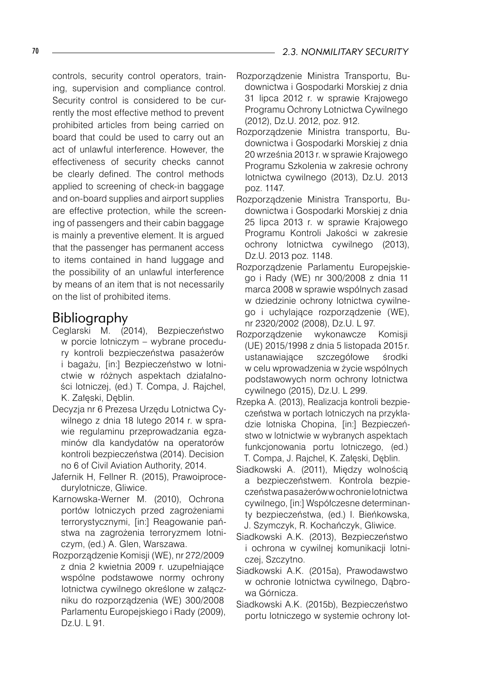controls, security control operators, training, supervision and compliance control. Security control is considered to be currently the most effective method to prevent prohibited articles from being carried on board that could be used to carry out an act of unlawful interference. However, the effectiveness of security checks cannot be clearly defined. The control methods applied to screening of check-in baggage and on-board supplies and airport supplies are effective protection, while the screening of passengers and their cabin baggage is mainly a preventive element. It is argued that the passenger has permanent access to items contained in hand luggage and the possibility of an unlawful interference by means of an item that is not necessarily on the list of prohibited items.

## Bibliography

- Ceglarski M. (2014), Bezpieczeństwo w porcie lotniczym – wybrane procedury kontroli bezpieczeństwa pasażerów i bagażu, [in:] Bezpieczeństwo w lotnictwie w różnych aspektach działalności lotniczej, (ed.) T. Compa, J. Rajchel, K. Załęski, Dęblin.
- Decyzja nr 6 Prezesa Urzędu Lotnictwa Cywilnego z dnia 18 lutego 2014 r. w sprawie regulaminu przeprowadzania egzaminów dla kandydatów na operatorów kontroli bezpieczeństwa (2014). Decision no 6 of Civil Aviation Authority, 2014.
- Jafernik H, Fellner R. (2015), Prawoiprocedurylotnicze, Gliwice.
- Karnowska-Werner M. (2010), Ochrona portów lotniczych przed zagrożeniami terrorystycznymi, [in:] Reagowanie państwa na zagrożenia terroryzmem lotniczym, (ed.) A. Glen, Warszawa.
- Rozporządzenie Komisji (WE), nr 272/2009 z dnia 2 kwietnia 2009 r. uzupełniające wspólne podstawowe normy ochrony lotnictwa cywilnego określone w załączniku do rozporządzenia (WE) 300/2008 Parlamentu Europejskiego i Rady (2009), Dz.U. L 91.
- Rozporządzenie Ministra Transportu, Budownictwa i Gospodarki Morskiej z dnia 31 lipca 2012 r. w sprawie Krajowego Programu Ochrony Lotnictwa Cywilnego (2012), Dz.U. 2012, poz. 912.
- Rozporządzenie Ministra transportu, Budownictwa i Gospodarki Morskiej z dnia 20 września 2013 r. w sprawie Krajowego Programu Szkolenia w zakresie ochrony lotnictwa cywilnego (2013), Dz.U. 2013 poz. 1147.
- Rozporządzenie Ministra Transportu, Budownictwa i Gospodarki Morskiej z dnia 25 lipca 2013 r. w sprawie Krajowego Programu Kontroli Jakości w zakresie ochrony lotnictwa cywilnego (2013), Dz.U. 2013 poz. 1148.
- Rozporządzenie Parlamentu Europejskiego i Rady (WE) nr 300/2008 z dnia 11 marca 2008 w sprawie wspólnych zasad w dziedzinie ochrony lotnictwa cywilnego i uchylające rozporządzenie (WE), nr 2320/2002 (2008), Dz.U. L 97.
- Rozporządzenie wykonawcze Komisji (UE) 2015/1998 z dnia 5 listopada 2015 r. ustanawiające szczegółowe środki w celu wprowadzenia w życie wspólnych podstawowych norm ochrony lotnictwa cywilnego (2015), Dz.U. L 299.
- Rzepka A. (2013), Realizacja kontroli bezpieczeństwa w portach lotniczych na przykładzie lotniska Chopina, [in:] Bezpieczeństwo w lotnictwie w wybranych aspektach funkcjonowania portu lotniczego, (ed.) T. Compa, J. Rajchel, K. Załęski, Dęblin.
- Siadkowski A. (2011), Między wolnością a bezpieczeństwem. Kontrola bezpieczeństwa pasażerów w ochronie lotnictwa cywilnego, [in:] Współczesne determinanty bezpieczeństwa, (ed.) I. Bieńkowska, J. Szymczyk, R. Kochańczyk, Gliwice.
- Siadkowski A.K. (2013), Bezpieczeństwo i ochrona w cywilnej komunikacji lotniczej, Szczytno.
- Siadkowski A.K. (2015a), Prawodawstwo w ochronie lotnictwa cywilnego, Dąbrowa Górnicza.
- Siadkowski A.K. (2015b), Bezpieczeństwo portu lotniczego w systemie ochrony lot-